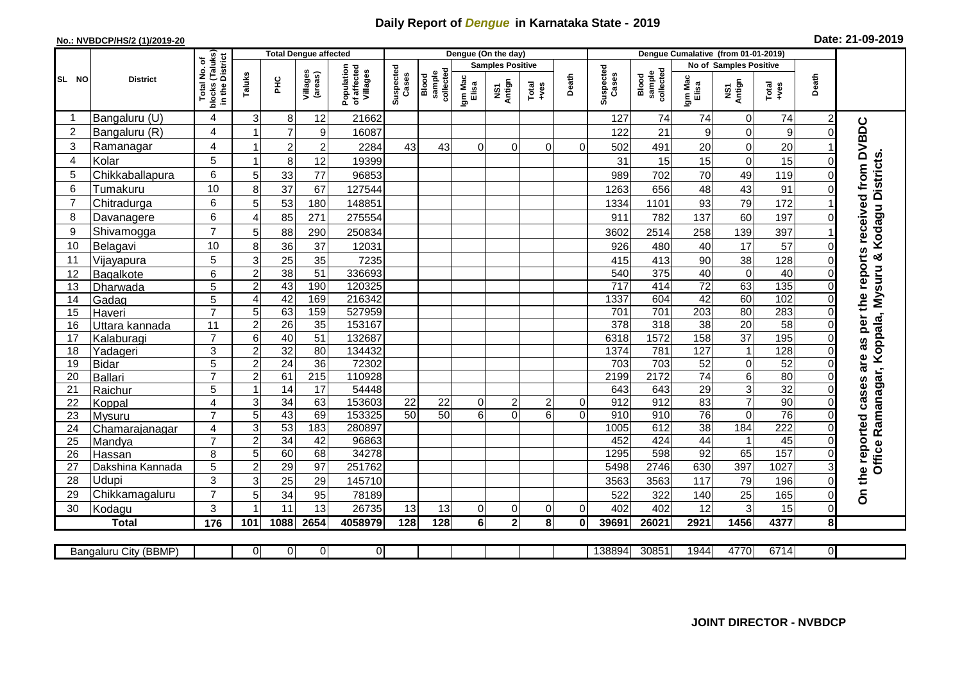## **Daily Report of** *Dengue* **in Karnataka State - 2019**

## **No.: NVBDCP/HS/2 (1)/2019-20**

| Date: 21-09-2019 |  |  |  |  |
|------------------|--|--|--|--|
|------------------|--|--|--|--|

|                |                       |                                       |                  |                 | <b>Total Dengue affected</b> |                                       |                    |                              |                  | Dengue (On the day)     |                 |                |                    |                              |                  | Dengue Cumalative (from 01-01-2019) |                 |                |                                                      |
|----------------|-----------------------|---------------------------------------|------------------|-----------------|------------------------------|---------------------------------------|--------------------|------------------------------|------------------|-------------------------|-----------------|----------------|--------------------|------------------------------|------------------|-------------------------------------|-----------------|----------------|------------------------------------------------------|
|                |                       | (Taluks)<br>District<br>৳             |                  |                 |                              |                                       |                    |                              |                  | <b>Samples Positive</b> |                 |                |                    |                              |                  | No of Samples Positive              |                 |                |                                                      |
| SL NO          | <b>District</b>       | .<br>ع<br>Total<br>blocks<br>in the l | Taluks           | ĔБ              | Villages<br>(areas)          | Population<br>of affected<br>Villages | Suspected<br>Cases | collected<br>sample<br>Blood | Igm Mac<br>Elisa | NS1<br>Antign           | Total<br>$+ves$ | Death          | Suspected<br>Cases | collected<br>sample<br>Blood | Igm Mac<br>Elisa | NS1<br>Antign                       | Total<br>$+ves$ | Death          |                                                      |
|                | Bangaluru (U)         | 4                                     | 3                | 8               | 12                           | 21662                                 |                    |                              |                  |                         |                 |                | 127                | 74                           | 74               | $\mathbf 0$                         | 74              | $\overline{c}$ |                                                      |
| $\overline{c}$ | Bangaluru (R)         | 4                                     | 1                | $\overline{7}$  | 9                            | 16087                                 |                    |                              |                  |                         |                 |                | 122                | 21                           | 9                | $\mathbf 0$                         | 9               |                | as per the reports received from DVBDC               |
| 3              | Ramanagar             | 4                                     | $\overline{1}$   | $\overline{2}$  | $\overline{c}$               | 2284                                  | 43                 | 43                           | $\Omega$         | $\Omega$                | $\Omega$        | $\Omega$       | 502                | 491                          | 20               | $\mathbf 0$                         | 20              |                |                                                      |
| $\overline{4}$ | Kolar                 | 5                                     | 1                | 8               | 12                           | 19399                                 |                    |                              |                  |                         |                 |                | 31                 | 15                           | 15               | $\mathbf 0$                         | 15              |                |                                                      |
| 5              | Chikkaballapura       | 6                                     | 5                | 33              | 77                           | 96853                                 |                    |                              |                  |                         |                 |                | 989                | 702                          | 70               | 49                                  | 119             |                |                                                      |
| 6              | Tumakuru              | 10                                    | 8                | 37              | 67                           | 127544                                |                    |                              |                  |                         |                 |                | 1263               | 656                          | 48               | 43                                  | 91              |                |                                                      |
| 7              | Chitradurga           | 6                                     | 5                | 53              | 180                          | 148851                                |                    |                              |                  |                         |                 |                | 1334               | 1101                         | 93               | 79                                  | 172             |                |                                                      |
| 8              | Davanagere            | 6                                     | 4                | 85              | 271                          | 275554                                |                    |                              |                  |                         |                 |                | 911                | 782                          | 137              | 60                                  | 197             |                |                                                      |
| 9              | Shivamogga            | $\overline{7}$                        | 5                | $\overline{88}$ | 290                          | 250834                                |                    |                              |                  |                         |                 |                | 3602               | 2514                         | 258              | 139                                 | 397             |                | Office Ramanagar, Koppala, Mysuru & Kodagu Districts |
| 10             | Belagavi              | 10                                    | 8                | 36              | 37                           | 12031                                 |                    |                              |                  |                         |                 |                | 926                | 480                          | 40               | 17                                  | 57              |                |                                                      |
| 11             | Vijayapura            | 5                                     | 3                | 25              | 35                           | 7235                                  |                    |                              |                  |                         |                 |                | 415                | 413                          | 90               | 38                                  | 128             |                |                                                      |
| 12             | Bagalkote             | 6                                     | $\overline{2}$   | 38              | 51                           | 336693                                |                    |                              |                  |                         |                 |                | 540                | 375                          | 40               | $\overline{0}$                      | 40              |                |                                                      |
| 13             | Dharwada              | 5                                     | $\overline{c}$   | 43              | 190                          | 120325                                |                    |                              |                  |                         |                 |                | $\overline{717}$   | 414                          | $\overline{72}$  | 63                                  | 135             |                |                                                      |
| 14             | Gadag                 | 5                                     | 4                | 42              | 169                          | 216342                                |                    |                              |                  |                         |                 |                | 1337               | 604                          | 42               | 60                                  | 102             |                |                                                      |
| 15             | Haveri                | $\overline{7}$                        | 5                | 63              | 159                          | 527959                                |                    |                              |                  |                         |                 |                | 701                | 701                          | $\overline{203}$ | 80                                  | 283             | $\Omega$       |                                                      |
| 16             | Uttara kannada        | 11                                    | $\overline{2}$   | $\overline{26}$ | 35                           | 153167                                |                    |                              |                  |                         |                 |                | $\overline{378}$   | 318                          | $\overline{38}$  | 20                                  | 58              |                |                                                      |
| 17             | Kalaburagi            | $\overline{7}$                        | $6\phantom{1}$   | 40              | 51                           | 132687                                |                    |                              |                  |                         |                 |                | 6318               | 1572                         | 158              | $\overline{37}$                     | 195             |                |                                                      |
| 18             | Yadageri              | 3                                     | $\overline{2}$   | 32              | $\overline{80}$              | 134432                                |                    |                              |                  |                         |                 |                | 1374               | 781                          | 127              | $\mathbf{1}$                        | 128             |                |                                                      |
| 19             | <b>Bidar</b>          | 5                                     | $\mathbf 2$      | 24              | 36                           | 72302                                 |                    |                              |                  |                         |                 |                | $\overline{703}$   | 703                          | 52               | $\pmb{0}$                           | 52              | 0              | are                                                  |
| 20             | Ballari               | $\overline{7}$                        | $\overline{2}$   | 61              | 215                          | 110928                                |                    |                              |                  |                         |                 |                | 2199               | 2172                         | $\overline{74}$  | 6                                   | 80              |                |                                                      |
| 21             | Raichur               | 5                                     | $\mathbf 1$      | $\overline{14}$ | 17                           | 54448                                 |                    |                              |                  |                         |                 |                | 643                | 643                          | 29               | ω                                   | 32              | $\Omega$       | cases                                                |
| 22             | Koppal                | $\overline{4}$<br>$\overline{7}$      | 3                | 34              | 63                           | 153603                                | 22                 | 22                           | $\overline{0}$   | $\boldsymbol{2}$        | $\overline{c}$  | $\overline{0}$ | 912                | 912                          | 83               | $\overline{7}$                      | 90              |                |                                                      |
| 23             | Mysuru                |                                       | 5                | 43              | 69                           | 153325                                | $\overline{50}$    | $\overline{50}$              | 6                | $\Omega$                | $6\phantom{1}$  | 0              | 910                | 910                          | $\overline{76}$  | $\mathbf 0$                         | $\overline{76}$ |                |                                                      |
| 24             | Chamarajanagar        | 4<br>$\overline{7}$                   | 3                | 53              | 183                          | 280897                                |                    |                              |                  |                         |                 |                | 1005<br>452        | 612<br>424                   | $\overline{38}$  | 184                                 | 222<br>45       |                |                                                      |
| 25<br>26       | Mandya<br>Hassan      | 8                                     | $\mathbf 2$<br>5 | 34<br>60        | 42<br>68                     | 96863<br>34278                        |                    |                              |                  |                         |                 |                | 1295               | 598                          | 44<br>92         | 1<br>65                             | 157             |                |                                                      |
| 27             | Dakshina Kannada      | 5                                     | $\overline{c}$   | 29              | 97                           | 251762                                |                    |                              |                  |                         |                 |                | 5498               | 2746                         | 630              | 397                                 | 1027            |                |                                                      |
| 28             | Udupi                 | 3                                     | 3                | 25              | 29                           | 145710                                |                    |                              |                  |                         |                 |                | 3563               | 3563                         | 117              | 79                                  | 196             | 0              | On the reported                                      |
| 29             | Chikkamagaluru        | $\overline{7}$                        | 5                | 34              | 95                           | 78189                                 |                    |                              |                  |                         |                 |                | 522                | 322                          | 140              | 25                                  | 165             |                |                                                      |
| 30             | Kodagu                | 3                                     | 1                | 11              | 13                           | 26735                                 | 13                 | 13                           | $\overline{0}$   | $\mathbf 0$             | 0               | $\overline{0}$ | 402                | 402                          | 12               | 3                                   | 15              | 0              |                                                      |
|                | <b>Total</b>          | 176                                   | 101              | 1088            | 2654                         | 4058979                               | 128                | 128                          | $6 \,$           | $\mathbf{2}$            | 8               | $\mathbf{0}$   | 39691              | 26021                        | 2921             | 1456                                | 4377            | 8              |                                                      |
|                |                       |                                       |                  |                 |                              |                                       |                    |                              |                  |                         |                 |                |                    |                              |                  |                                     |                 |                |                                                      |
|                | Bangaluru City (BBMP) |                                       | $\overline{0}$   | $\overline{0}$  | $\mathbf 0$                  | $\overline{0}$                        |                    |                              |                  |                         |                 |                | 138894             | 30851                        | 1944             | 4770                                | 6714            | 01             |                                                      |